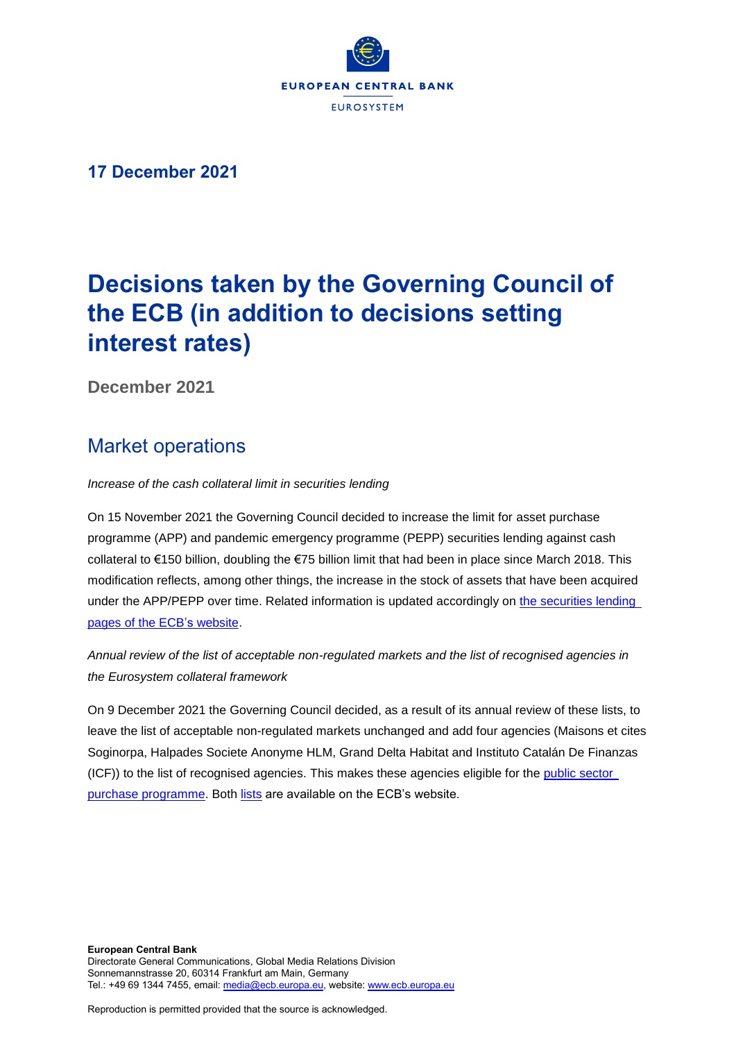

# **17 December 2021**

# **Decisions taken by the Governing Council of the ECB (in addition to decisions setting interest rates)**

**December 2021**

# Market operations

*Increase of the cash collateral limit in securities lending*

On 15 November 2021 the Governing Council decided to increase the limit for asset purchase programme (APP) and pandemic emergency programme (PEPP) securities lending against cash collateral to €150 billion, doubling the €75 billion limit that had been in place since March 2018. This modification reflects, among other things, the increase in the stock of assets that have been acquired under the APP/PEPP over time. Related information is updated accordingly on the securities lending pages of [the ECB's](https://www.ecb.europa.eu/mopo/implement/app/lending/html/securities-lending-faq.en.html) website.

*Annual review of the list of acceptable non-regulated markets and the list of recognised agencies in the Eurosystem collateral framework*

On 9 December 2021 the Governing Council decided, as a result of its annual review of these lists, to leave the list of acceptable non-regulated markets unchanged and add four agencies (Maisons et cites Soginorpa, Halpades Societe Anonyme HLM, Grand Delta Habitat and Instituto Catalán De Finanzas (ICF)) to the list of recognised agencies. This makes these agencies eligible for the public sector [purchase programme.](https://www.ecb.europa.eu/mopo/implement/app/html/index.en.html#pspp) Both [lists](https://www.ecb.europa.eu/mopo/assets/standards/marketable/html/index.en.html) are available on the ECB's website.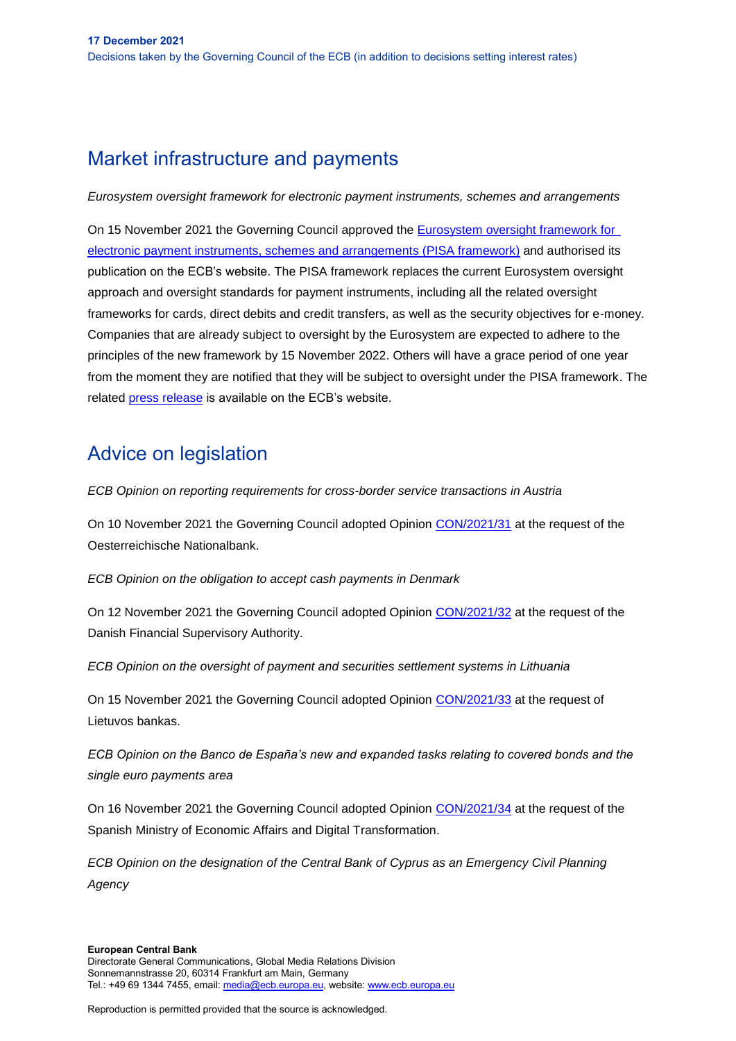# Market infrastructure and payments

*Eurosystem oversight framework for electronic payment instruments, schemes and arrangements*

On 15 November 2021 the Governing Council approved the [Eurosystem oversight framework for](https://www.ecb.europa.eu/paym/pdf/consultations/ecb.PISApublicconsultation202111_1.en.pdf)  [electronic payment instruments, schemes and arrangements \(PISA framework\)](https://www.ecb.europa.eu/paym/pdf/consultations/ecb.PISApublicconsultation202111_1.en.pdf) and authorised its publication on the ECB's website. The PISA framework replaces the current Eurosystem oversight approach and oversight standards for payment instruments, including all the related oversight frameworks for cards, direct debits and credit transfers, as well as the security objectives for e-money. Companies that are already subject to oversight by the Eurosystem are expected to adhere to the principles of the new framework by 15 November 2022. Others will have a grace period of one year from the moment they are notified that they will be subject to oversight under the PISA framework. The related [press release](https://www.ecb.europa.eu/paym/intro/news/html/ecb.mipnews211122.en.html) is available on the ECB's website.

# Advice on legislation

*ECB Opinion on reporting requirements for cross-border service transactions in Austria*

On 10 November 2021 the Governing Council adopted Opinion [CON/2021/31](https://eur-lex.europa.eu/legal-content/EN/TXT/?uri=CELEX%3A52021AB0031&qid=1596527709586) at the request of the Oesterreichische Nationalbank.

*ECB Opinion on the obligation to accept cash payments in Denmark*

On 12 November 2021 the Governing Council adopted Opinion [CON/2021/32](https://eur-lex.europa.eu/legal-content/EN/TXT/?uri=CELEX%3A52021AB0032&qid=1596527709586) at the request of the Danish Financial Supervisory Authority.

*ECB Opinion on the oversight of payment and securities settlement systems in Lithuania*

On 15 November 2021 the Governing Council adopted Opinion [CON/2021/33](https://eur-lex.europa.eu/legal-content/EN/TXT/?uri=CELEX%3A52021AB0033&qid=1596527709586) at the request of Lietuvos bankas.

*ECB Opinion on the Banco de España's new and expanded tasks relating to covered bonds and the single euro payments area*

On 16 November 2021 the Governing Council adopted Opinion [CON/2021/34](https://eur-lex.europa.eu/legal-content/EN/TXT/?uri=CELEX%3A52021AB0034&qid=1596527709586) at the request of the Spanish Ministry of Economic Affairs and Digital Transformation.

*ECB Opinion on the designation of the Central Bank of Cyprus as an Emergency Civil Planning Agency*

#### **European Central Bank**

Reproduction is permitted provided that the source is acknowledged.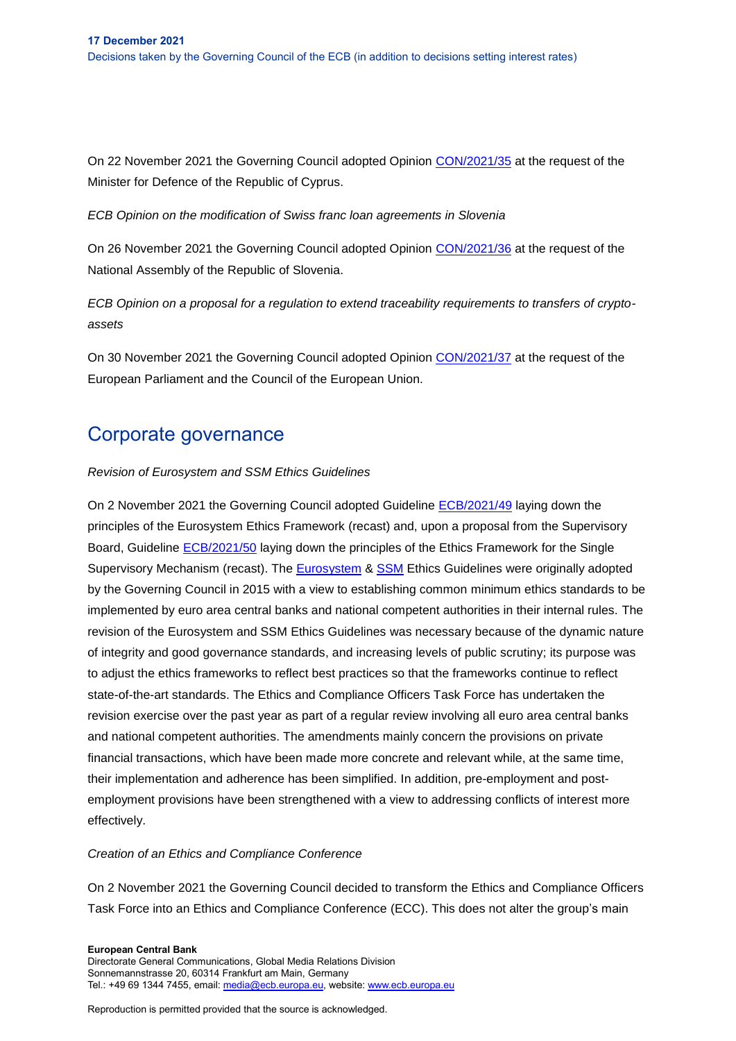On 22 November 2021 the Governing Council adopted Opinion [CON/2021/35](https://eur-lex.europa.eu/legal-content/EN/TXT/?uri=CELEX%3A52021AB0035&qid=1596527709586) at the request of the Minister for Defence of the Republic of Cyprus.

*ECB Opinion on the modification of Swiss franc loan agreements in Slovenia*

On 26 November 2021 the Governing Council adopted Opinion [CON/2021/36](https://eur-lex.europa.eu/legal-content/EN/TXT/?uri=CELEX%3A52021AB0036&qid=1596527709586) at the request of the National Assembly of the Republic of Slovenia.

*ECB Opinion on a proposal for a regulation to extend traceability requirements to transfers of cryptoassets*

On 30 November 2021 the Governing Council adopted Opinion [CON/2021/37](https://www.ecb.europa.eu/pub/pdf/other/en_con_2021_37_f_sign~fb3fe2ed28..pdf?3d9d5c2e5b3c64ad221ae0d31aae55c3) at the request of the European Parliament and the Council of the European Union.

# Corporate governance

# *Revision of Eurosystem and SSM Ethics Guidelines*

On 2 November 2021 the Governing Council adopted Guideline [ECB/2021/49](https://eur-lex.europa.eu/legal-content/EN/TXT/?uri=CELEX%3A32021O2253&qid=1639734878092&home=ecb) laying down the principles of the Eurosystem Ethics Framework (recast) and, upon a proposal from the Supervisory Board, Guideline [ECB/2021/50](https://eur-lex.europa.eu/legal-content/EN/TXT/?uri=CELEX%3A32021O2256&qid=1639734878092&home=ecb) laying down the principles of the Ethics Framework for the Single Supervisory Mechanism (recast). The [Eurosystem](https://eur-lex.europa.eu/search.html?text=2015%2F855&type=quick&locale=en%3Fskey%3D2015%2F855&qid=1630321015860&scope=EURLEX) & [SSM](https://eur-lex.europa.eu/search.html?text=2015%2F856&type=quick&locale=en%3Fskey%3D2015%2F856&qid=1630321069509&scope=EURLEX) Ethics Guidelines were originally adopted by the Governing Council in 2015 with a view to establishing common minimum ethics standards to be implemented by euro area central banks and national competent authorities in their internal rules. The revision of the Eurosystem and SSM Ethics Guidelines was necessary because of the dynamic nature of integrity and good governance standards, and increasing levels of public scrutiny; its purpose was to adjust the ethics frameworks to reflect best practices so that the frameworks continue to reflect state-of-the-art standards. The Ethics and Compliance Officers Task Force has undertaken the revision exercise over the past year as part of a regular review involving all euro area central banks and national competent authorities. The amendments mainly concern the provisions on private financial transactions, which have been made more concrete and relevant while, at the same time, their implementation and adherence has been simplified. In addition, pre-employment and postemployment provisions have been strengthened with a view to addressing conflicts of interest more effectively.

# *Creation of an Ethics and Compliance Conference*

On 2 November 2021 the Governing Council decided to transform the Ethics and Compliance Officers Task Force into an Ethics and Compliance Conference (ECC). This does not alter the group's main

**European Central Bank** Directorate General Communications, Global Media Relations Division Sonnemannstrasse 20, 60314 Frankfurt am Main, Germany Tel.: +49 69 1344 7455, email[: media@ecb.europa.eu,](mailto:media@ecb.europa.eu) website[: www.ecb.europa.eu](http://www.ecb.europa.eu/)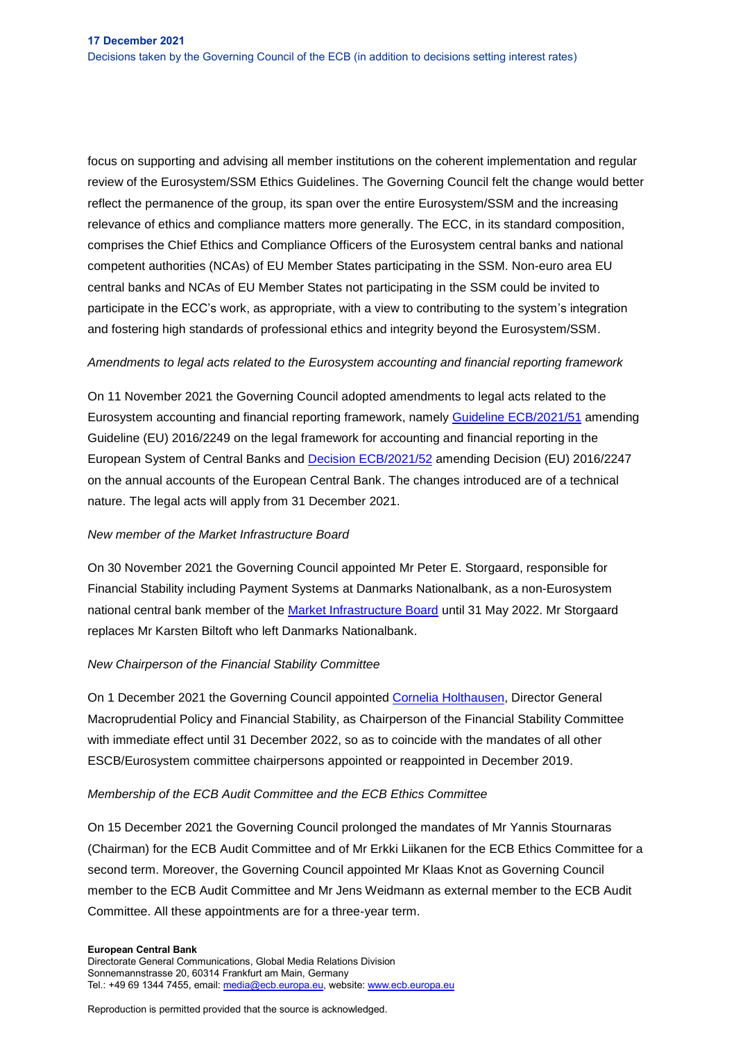focus on supporting and advising all member institutions on the coherent implementation and regular review of the Eurosystem/SSM Ethics Guidelines. The Governing Council felt the change would better reflect the permanence of the group, its span over the entire Eurosystem/SSM and the increasing relevance of ethics and compliance matters more generally. The ECC, in its standard composition, comprises the Chief Ethics and Compliance Officers of the Eurosystem central banks and national competent authorities (NCAs) of EU Member States participating in the SSM. Non-euro area EU central banks and NCAs of EU Member States not participating in the SSM could be invited to participate in the ECC's work, as appropriate, with a view to contributing to the system's integration and fostering high standards of professional ethics and integrity beyond the Eurosystem/SSM.

## *Amendments to legal acts related to the Eurosystem accounting and financial reporting framework*

On 11 November 2021 the Governing Council adopted amendments to legal acts related to the Eurosystem accounting and financial reporting framework, namely [Guideline ECB/2021/51](https://eur-lex.europa.eu/legal-content/EN/TXT/?uri=CELEX%3A32021O2041&qid=1596527709586) amending Guideline (EU) 2016/2249 on the legal framework for accounting and financial reporting in the European System of Central Banks and [Decision ECB/2021/52](https://eur-lex.europa.eu/legal-content/EN/TXT/?uri=CELEX%3A32021D2040&qid=1596527709586) amending Decision (EU) 2016/2247 on the annual accounts of the European Central Bank. The changes introduced are of a technical nature. The legal acts will apply from 31 December 2021.

### *New member of the Market Infrastructure Board*

On 30 November 2021 the Governing Council appointed Mr Peter E. Storgaard, responsible for Financial Stability including Payment Systems at Danmarks Nationalbank, as a non-Eurosystem national central bank member of the [Market Infrastructure Board](https://www.ecb.europa.eu/paym/target/t2s/governance/html/index.en.html) until 31 May 2022. Mr Storgaard replaces Mr Karsten Biltoft who left Danmarks Nationalbank.

### *New Chairperson of the Financial Stability Committee*

On 1 December 2021 the Governing Council appointed [Cornelia Holthausen,](https://www.ecb.europa.eu/press/pr/date/2021/html/ecb.pr211102~33bee42e0b.en.html) Director General Macroprudential Policy and Financial Stability, as Chairperson of the Financial Stability Committee with immediate effect until 31 December 2022, so as to coincide with the mandates of all other ESCB/Eurosystem committee chairpersons appointed or reappointed in December 2019.

### *Membership of the ECB Audit Committee and the ECB Ethics Committee*

On 15 December 2021 the Governing Council prolonged the mandates of Mr Yannis Stournaras (Chairman) for the ECB Audit Committee and of Mr Erkki Liikanen for the ECB Ethics Committee for a second term. Moreover, the Governing Council appointed Mr Klaas Knot as Governing Council member to the ECB Audit Committee and Mr Jens Weidmann as external member to the ECB Audit Committee. All these appointments are for a three-year term.

#### **European Central Bank**

Directorate General Communications, Global Media Relations Division Sonnemannstrasse 20, 60314 Frankfurt am Main, Germany Tel.: +49 69 1344 7455, email[: media@ecb.europa.eu,](mailto:media@ecb.europa.eu) website[: www.ecb.europa.eu](http://www.ecb.europa.eu/)

Reproduction is permitted provided that the source is acknowledged.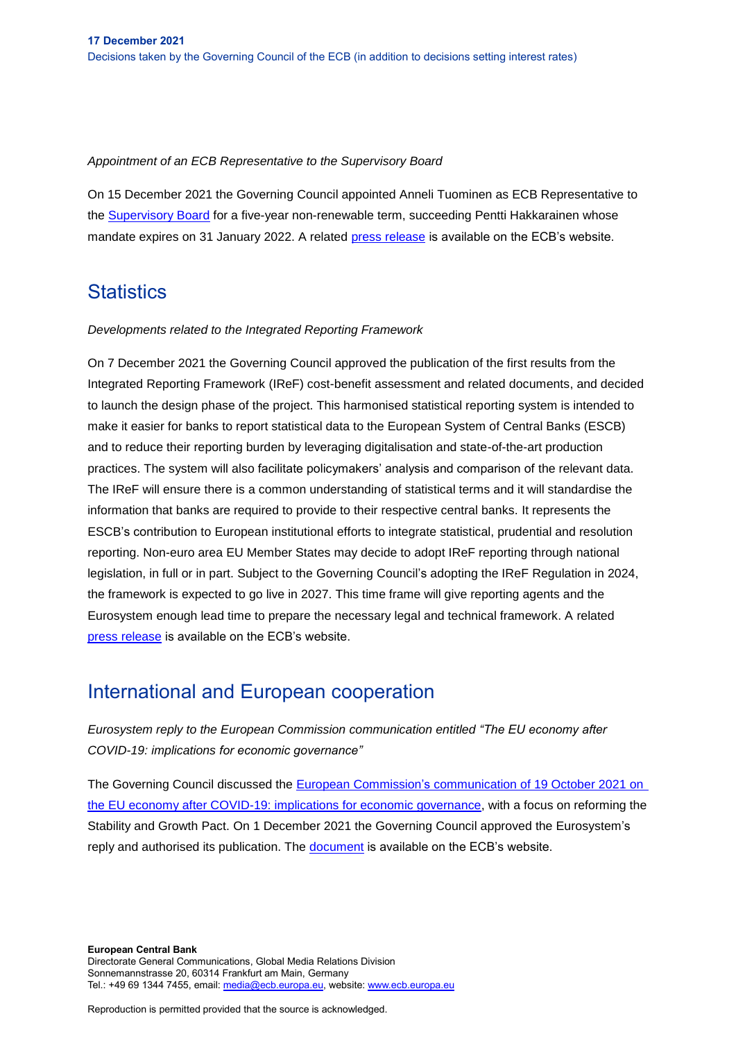### *Appointment of an ECB Representative to the Supervisory Board*

On 15 December 2021 the Governing Council appointed Anneli Tuominen as ECB Representative to the [Supervisory Board](https://www.ecb.europa.eu/ecb/orga/decisions/ssm/html/index.en.html) for a five-year non-renewable term, succeeding Pentti Hakkarainen whose mandate expires on 31 January 2022. A related [press release](https://www.ecb.europa.eu/press/pr/date/2021/html/ecb.pr211216~9c42a5a4af.en.html) is available on the ECB's website.

# **Statistics**

### *Developments related to the Integrated Reporting Framework*

On 7 December 2021 the Governing Council approved the publication of the first results from the Integrated Reporting Framework (IReF) cost-benefit assessment and related documents, and decided to launch the design phase of the project. This harmonised statistical reporting system is intended to make it easier for banks to report statistical data to the European System of Central Banks (ESCB) and to reduce their reporting burden by leveraging digitalisation and state-of-the-art production practices. The system will also facilitate policymakers' analysis and comparison of the relevant data. The IReF will ensure there is a common understanding of statistical terms and it will standardise the information that banks are required to provide to their respective central banks. It represents the ESCB's contribution to European institutional efforts to integrate statistical, prudential and resolution reporting. Non-euro area EU Member States may decide to adopt IReF reporting through national legislation, in full or in part. Subject to the Governing Council's adopting the IReF Regulation in 2024, the framework is expected to go live in 2027. This time frame will give reporting agents and the Eurosystem enough lead time to prepare the necessary legal and technical framework. A related [press release](https://www.ecb.europa.eu/press/pr/date/2021/html/ecb.pr211217~168928ae51.en.html) is available on the ECB's website.

# International and European cooperation

*Eurosystem reply to the European Commission communication entitled "The EU economy after COVID-19: implications for economic governance"*

The Governing Council discussed the European Commission's [communication of 19 October 2021](https://ec.europa.eu/info/files/economic-governance-review-communication_en) on [the EU economy after COVID-19: implications for economic governance,](https://ec.europa.eu/info/files/economic-governance-review-communication_en) with a focus on reforming the Stability and Growth Pact. On 1 December 2021 the Governing Council approved the Eurosystem's reply and authorised its publication. The [document](https://www.ecb.europa.eu/pub/pdf/other/eurosystem_reply_commission_eu_economy_after_covid_implications_economic_governance211202~d2eeec68dc.en.pdf?66dec20c9b6967105543014f88805bf2) is available on the ECB's website.